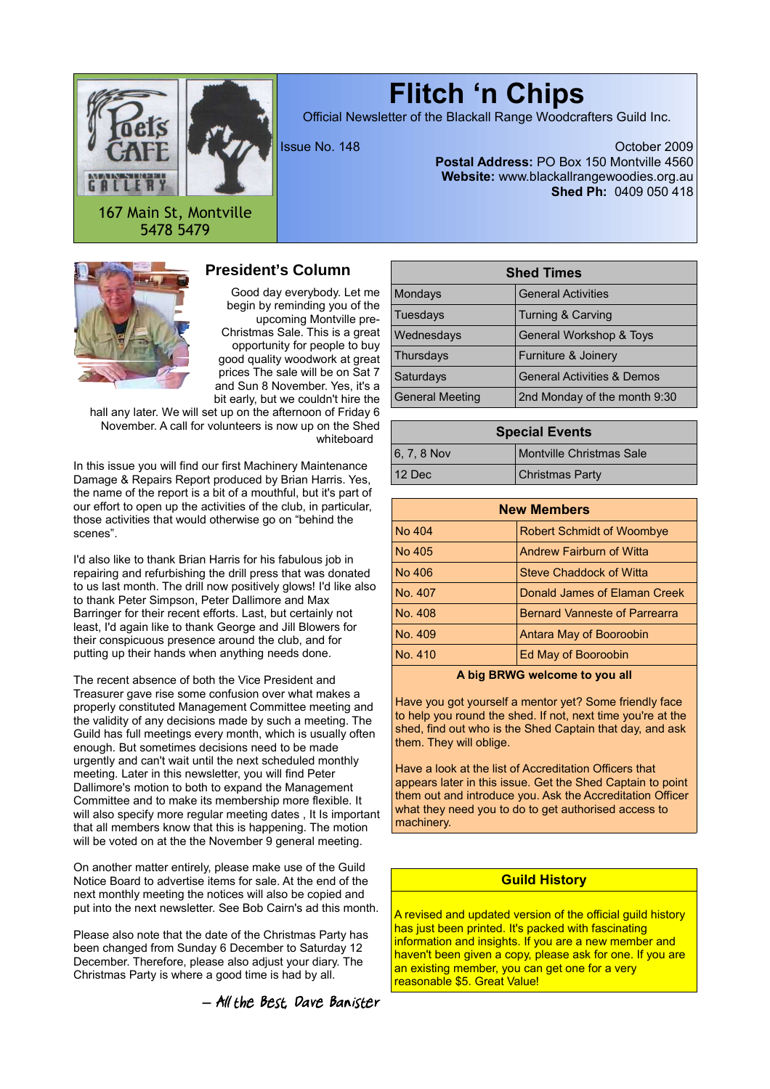

# **Flitch 'n Chips**

Official Newsletter of the Blackall Range Woodcrafters Guild Inc.

Issue No. 148 October 2009 **Postal Address:** PO Box 150 Montville 4560 **Website:** www.blackallrangewoodies.org.au **Shed Ph:** 0409 050 418

167 Main St, Montville 5478 5479



# **President's Column**

Good day everybody. Let me begin by reminding you of the upcoming Montville pre-Christmas Sale. This is a great opportunity for people to buy good quality woodwork at great prices The sale will be on Sat 7 and Sun 8 November. Yes, it's a bit early, but we couldn't hire the

hall any later. We will set up on the afternoon of Friday 6 November. A call for volunteers is now up on the Shed whiteboard

In this issue you will find our first Machinery Maintenance Damage & Repairs Report produced by Brian Harris. Yes, the name of the report is a bit of a mouthful, but it's part of our effort to open up the activities of the club, in particular, those activities that would otherwise go on "behind the scenes".

I'd also like to thank Brian Harris for his fabulous job in repairing and refurbishing the drill press that was donated to us last month. The drill now positively glows! I'd like also to thank Peter Simpson, Peter Dallimore and Max Barringer for their recent efforts. Last, but certainly not least, I'd again like to thank George and Jill Blowers for their conspicuous presence around the club, and for putting up their hands when anything needs done.

The recent absence of both the Vice President and Treasurer gave rise some confusion over what makes a properly constituted Management Committee meeting and the validity of any decisions made by such a meeting. The Guild has full meetings every month, which is usually often enough. But sometimes decisions need to be made urgently and can't wait until the next scheduled monthly meeting. Later in this newsletter, you will find Peter Dallimore's motion to both to expand the Management Committee and to make its membership more flexible. It will also specify more regular meeting dates , It Is important that all members know that this is happening. The motion will be voted on at the the November 9 general meeting.

On another matter entirely, please make use of the Guild Notice Board to advertise items for sale. At the end of the next monthly meeting the notices will also be copied and put into the next newsletter. See Bob Cairn's ad this month.

Please also note that the date of the Christmas Party has been changed from Sunday 6 December to Saturday 12 December. Therefore, please also adjust your diary. The Christmas Party is where a good time is had by all.

*―* All the Best, Dave Banister

| <b>Shed Times</b>      |                                       |  |  |  |
|------------------------|---------------------------------------|--|--|--|
| Mondays                | <b>General Activities</b>             |  |  |  |
| Tuesdays               | Turning & Carving                     |  |  |  |
| Wednesdays             | General Workshop & Toys               |  |  |  |
| Thursdays              | Furniture & Joinery                   |  |  |  |
| Saturdays              | <b>General Activities &amp; Demos</b> |  |  |  |
| <b>General Meeting</b> | 2nd Monday of the month 9:30          |  |  |  |

| <b>Special Events</b> |                                 |  |  |
|-----------------------|---------------------------------|--|--|
| $ 6, 7, 8$ Nov        | <b>Montville Christmas Sale</b> |  |  |
| 12 Dec                | Christmas Party                 |  |  |

| <b>New Members</b> |                                      |  |  |  |
|--------------------|--------------------------------------|--|--|--|
| No 404             | <b>Robert Schmidt of Woombye</b>     |  |  |  |
| No 405             | Andrew Fairburn of Witta             |  |  |  |
| No 406             | Steve Chaddock of Witta              |  |  |  |
| No. 407            | Donald James of Elaman Creek         |  |  |  |
| No. 408            | <b>Bernard Vanneste of Parrearra</b> |  |  |  |
| No. 409            | Antara May of Booroobin              |  |  |  |
| No. 410            | Ed May of Booroobin                  |  |  |  |
|                    |                                      |  |  |  |

**A big BRWG welcome to you all**

Have you got yourself a mentor yet? Some friendly face to help you round the shed. If not, next time you're at the shed, find out who is the Shed Captain that day, and ask them. They will oblige.

Have a look at the list of Accreditation Officers that appears later in this issue. Get the Shed Captain to point them out and introduce you. Ask the Accreditation Officer what they need you to do to get authorised access to machinery.

#### **Guild History**

A revised and updated version of the official guild history has just been printed. It's packed with fascinating information and insights. If you are a new member and haven't been given a copy, please ask for one. If you are an existing member, you can get one for a very reasonable \$5. Great Value!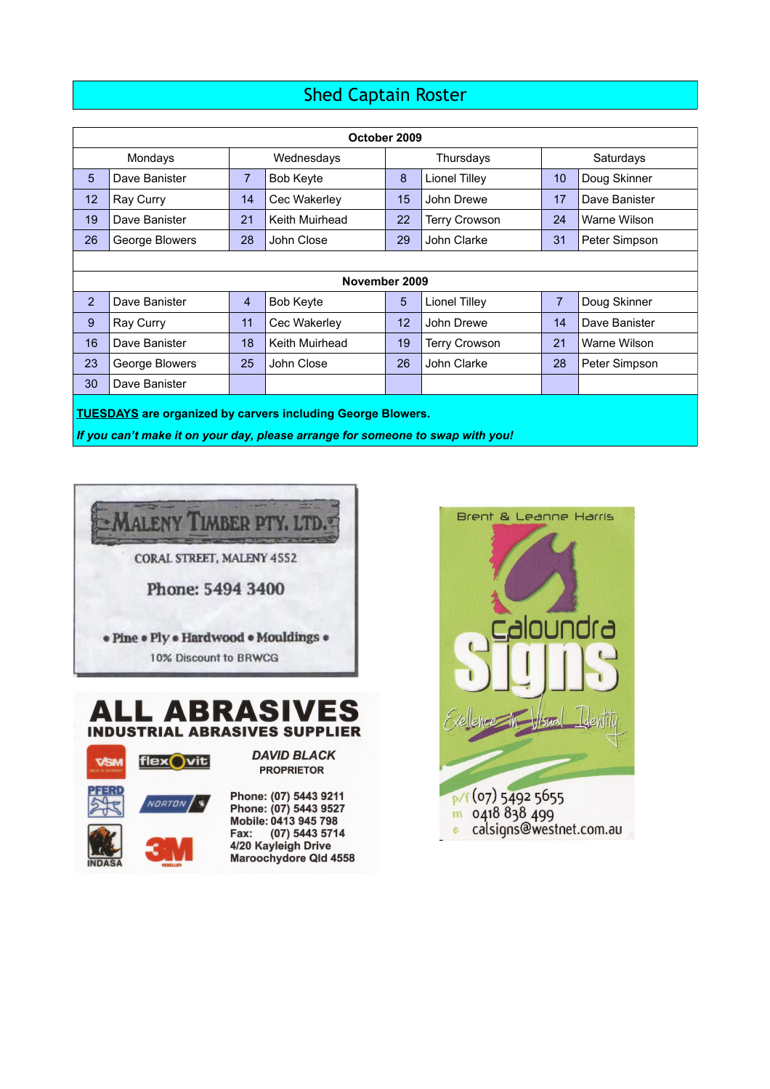# Shed Captain Roster

| October 2009                                                                                                                                         |                |                |                  |    |                      |                |               |
|------------------------------------------------------------------------------------------------------------------------------------------------------|----------------|----------------|------------------|----|----------------------|----------------|---------------|
| Mondays<br>Wednesdays                                                                                                                                |                |                | Thursdays        |    | Saturdays            |                |               |
| $5\phantom{1}$                                                                                                                                       | Dave Banister  | $\overline{7}$ | <b>Bob Keyte</b> | 8  | <b>Lionel Tilley</b> | 10             | Doug Skinner  |
| 12                                                                                                                                                   | Ray Curry      | 14             | Cec Wakerley     | 15 | John Drewe           | 17             | Dave Banister |
| 19                                                                                                                                                   | Dave Banister  | 21             | Keith Muirhead   | 22 | <b>Terry Crowson</b> | 24             | Warne Wilson  |
| 26                                                                                                                                                   | George Blowers | 28             | John Close       | 29 | John Clarke          | 31             | Peter Simpson |
|                                                                                                                                                      |                |                |                  |    |                      |                |               |
| November 2009                                                                                                                                        |                |                |                  |    |                      |                |               |
| 2                                                                                                                                                    | Dave Banister  | $\overline{4}$ | <b>Bob Keyte</b> | 5  | Lionel Tilley        | $\overline{7}$ | Doug Skinner  |
| 9                                                                                                                                                    | Ray Curry      | 11             | Cec Wakerley     | 12 | John Drewe           | 14             | Dave Banister |
| 16                                                                                                                                                   | Dave Banister  | 18             | Keith Muirhead   | 19 | <b>Terry Crowson</b> | 21             | Warne Wilson  |
| 23                                                                                                                                                   | George Blowers | 25             | John Close       | 26 | John Clarke          | 28             | Peter Simpson |
| 30                                                                                                                                                   | Dave Banister  |                |                  |    |                      |                |               |
| <b>TUESDAYS</b> are organized by carvers including George Blowers.<br>If you can't make it on your day, please arrange for someone to swap with you! |                |                |                  |    |                      |                |               |



# **ALL ABRASIVES INDUSTRIAL ABRASIVES SUPPLIER**



**DAVID BLACK PROPRIETOR** 

Phone: (07) 5443 9211<br>Phone: (07) 5443 9527<br>Mobile: 0413 945 798<br>Fax: (07) 5443 5714<br>4/20 Kayleigh Drive Maroochydore Qld 4558

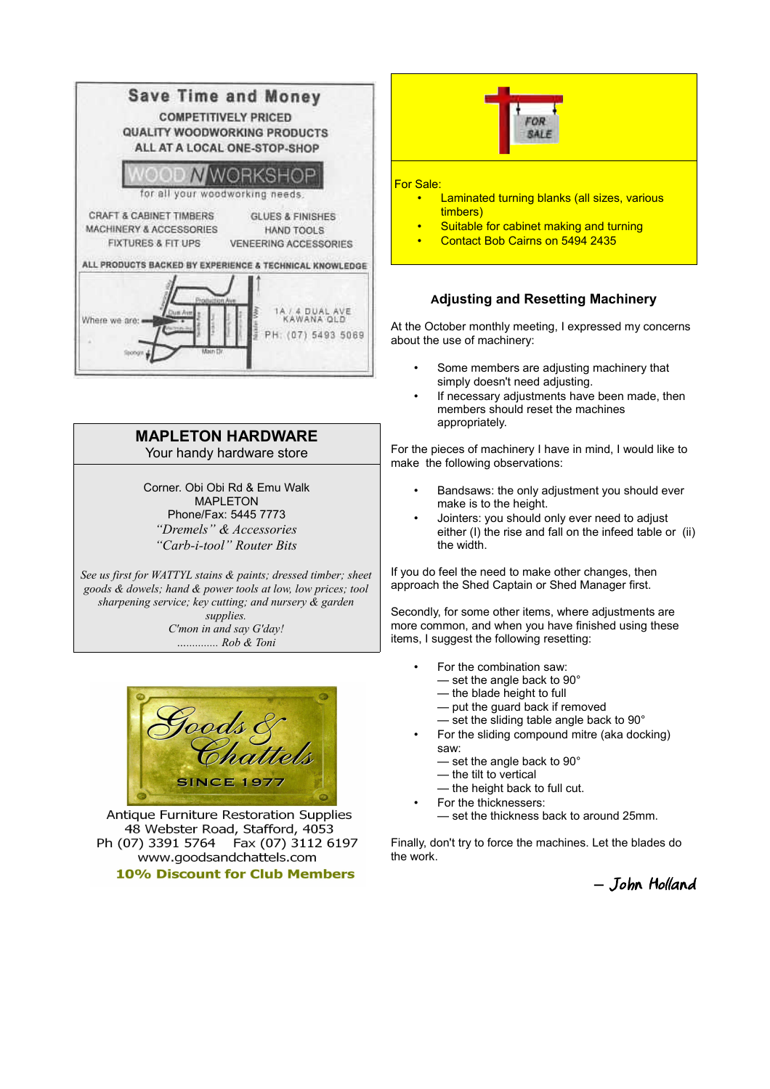

# **MAPLETON HARDWARE** Your handy hardware store

Corner. Obi Obi Rd & Emu Walk **MAPI FTON** Phone/Fax: 5445 7773 *"Dremels" & Accessories "Carb-i-tool" Router Bits*

*See us first for WATTYL stains & paints; dressed timber; sheet goods & dowels; hand & power tools at low, low prices; tool sharpening service; key cutting; and nursery & garden supplies. C'mon in and say G'day! …........... Rob & Toni*



Antique Furniture Restoration Supplies 48 Webster Road, Stafford, 4053 Fax (07) 3112 6197 Ph (07) 3391 5764 www.goodsandchattels.com **10% Discount for Club Members** 



# **Adjusting and Resetting Machinery**

At the October monthly meeting, I expressed my concerns about the use of machinery:

- Some members are adjusting machinery that simply doesn't need adjusting.
- If necessary adjustments have been made, then members should reset the machines appropriately.

For the pieces of machinery I have in mind, I would like to make the following observations:

- Bandsaws: the only adjustment you should ever make is to the height.
- Jointers: you should only ever need to adjust either (I) the rise and fall on the infeed table or (ii) the width.

If you do feel the need to make other changes, then approach the Shed Captain or Shed Manager first.

Secondly, for some other items, where adjustments are more common, and when you have finished using these items, I suggest the following resetting:

- For the combination saw:
	- set the angle back to 90°
	- the blade height to full
	- put the guard back if removed
	- set the sliding table angle back to 90°
- For the sliding compound mitre (aka docking) saw:
	- set the angle back to 90°
	- the tilt to vertical
	- the height back to full cut.
- For the thicknessers:
	- set the thickness back to around 25mm.

Finally, don't try to force the machines. Let the blades do the work.

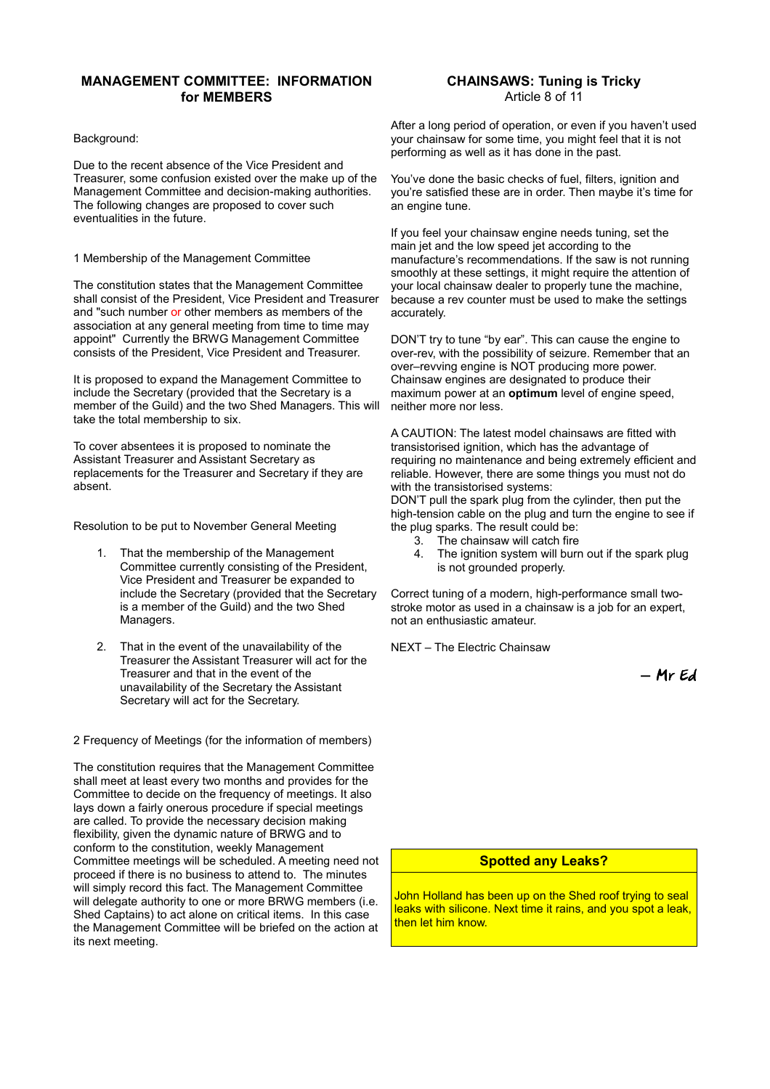#### **MANAGEMENT COMMITTEE: INFORMATION for MEMBERS**

#### Background:

Due to the recent absence of the Vice President and Treasurer, some confusion existed over the make up of the Management Committee and decision-making authorities. The following changes are proposed to cover such eventualities in the future.

#### 1 Membership of the Management Committee

The constitution states that the Management Committee shall consist of the President, Vice President and Treasurer and "such number or other members as members of the association at any general meeting from time to time may appoint" Currently the BRWG Management Committee consists of the President, Vice President and Treasurer.

It is proposed to expand the Management Committee to include the Secretary (provided that the Secretary is a member of the Guild) and the two Shed Managers. This will take the total membership to six.

To cover absentees it is proposed to nominate the Assistant Treasurer and Assistant Secretary as replacements for the Treasurer and Secretary if they are absent.

Resolution to be put to November General Meeting

- 1. That the membership of the Management Committee currently consisting of the President, Vice President and Treasurer be expanded to include the Secretary (provided that the Secretary is a member of the Guild) and the two Shed Managers.
- 2. That in the event of the unavailability of the Treasurer the Assistant Treasurer will act for the Treasurer and that in the event of the unavailability of the Secretary the Assistant Secretary will act for the Secretary.

2 Frequency of Meetings (for the information of members)

The constitution requires that the Management Committee shall meet at least every two months and provides for the Committee to decide on the frequency of meetings. It also lays down a fairly onerous procedure if special meetings are called. To provide the necessary decision making flexibility, given the dynamic nature of BRWG and to conform to the constitution, weekly Management Committee meetings will be scheduled. A meeting need not proceed if there is no business to attend to. The minutes will simply record this fact. The Management Committee will delegate authority to one or more BRWG members (i.e. Shed Captains) to act alone on critical items. In this case the Management Committee will be briefed on the action at its next meeting.

#### **CHAINSAWS: Tuning is Tricky** Article 8 of 11

After a long period of operation, or even if you haven't used your chainsaw for some time, you might feel that it is not performing as well as it has done in the past.

You've done the basic checks of fuel, filters, ignition and you're satisfied these are in order. Then maybe it's time for an engine tune.

If you feel your chainsaw engine needs tuning, set the main jet and the low speed jet according to the manufacture's recommendations. If the saw is not running smoothly at these settings, it might require the attention of your local chainsaw dealer to properly tune the machine, because a rev counter must be used to make the settings accurately.

DON'T try to tune "by ear". This can cause the engine to over-rev, with the possibility of seizure. Remember that an over–revving engine is NOT producing more power. Chainsaw engines are designated to produce their maximum power at an **optimum** level of engine speed, neither more nor less.

A CAUTION: The latest model chainsaws are fitted with transistorised ignition, which has the advantage of requiring no maintenance and being extremely efficient and reliable. However, there are some things you must not do with the transistorised systems:

DON'T pull the spark plug from the cylinder, then put the high-tension cable on the plug and turn the engine to see if the plug sparks. The result could be:

- 3. The chainsaw will catch fire
- 4. The ignition system will burn out if the spark plug is not grounded properly.

Correct tuning of a modern, high-performance small twostroke motor as used in a chainsaw is a job for an expert, not an enthusiastic amateur.

NEXT – The Electric Chainsaw

*―* Mr Ed

#### **Spotted any Leaks?**

John Holland has been up on the Shed roof trying to seal leaks with silicone. Next time it rains, and you spot a leak, then let him know.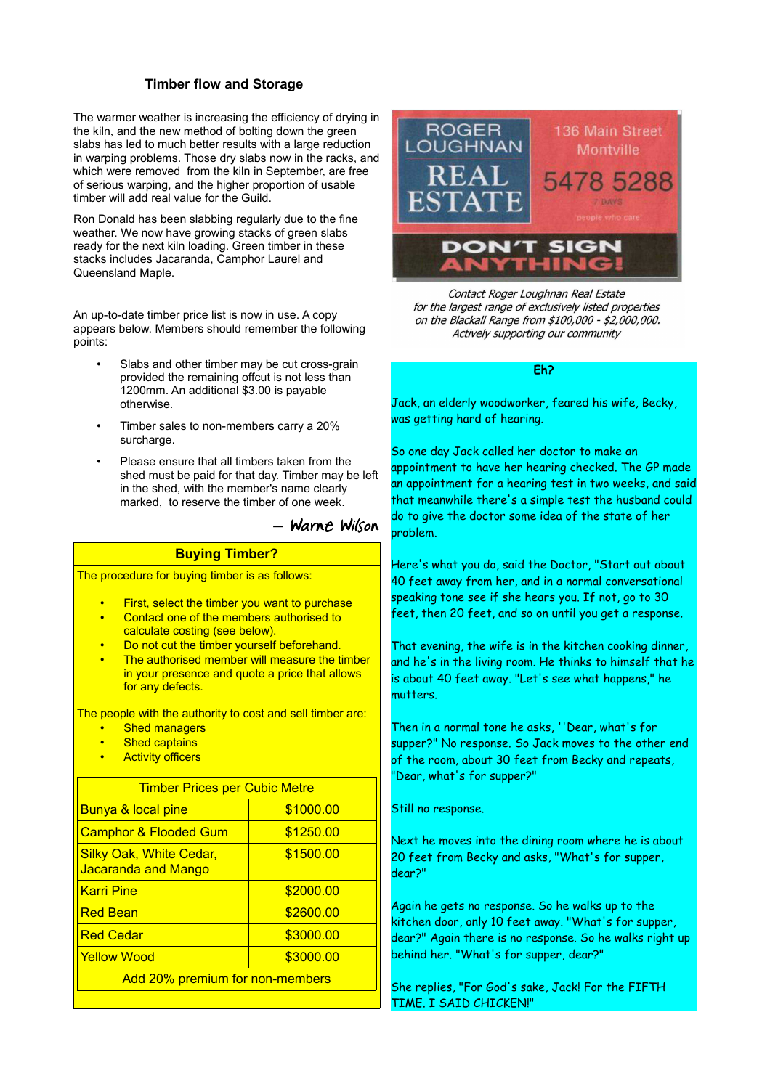#### **Timber flow and Storage**

The warmer weather is increasing the efficiency of drying in the kiln, and the new method of bolting down the green slabs has led to much better results with a large reduction in warping problems. Those dry slabs now in the racks, and which were removed from the kiln in September, are free of serious warping, and the higher proportion of usable timber will add real value for the Guild.

Ron Donald has been slabbing regularly due to the fine weather. We now have growing stacks of green slabs ready for the next kiln loading. Green timber in these stacks includes Jacaranda, Camphor Laurel and Queensland Maple.

An up-to-date timber price list is now in use. A copy appears below. Members should remember the following points:

- Slabs and other timber may be cut cross-grain provided the remaining offcut is not less than 1200mm. An additional \$3.00 is payable otherwise.
- Timber sales to non-members carry a 20% surcharge.
- Please ensure that all timbers taken from the shed must be paid for that day. Timber may be left in the shed, with the member's name clearly marked, to reserve the timber of one week.

# *―* Warne Wilson

## **Buying Timber?**

The procedure for buying timber is as follows:

- **First, select the timber you want to purchase**
- Contact one of the members authorised to calculate costing (see below).
- Do not cut the timber yourself beforehand.
- The authorised member will measure the timber in your presence and quote a price that allows for any defects.

The people with the authority to cost and sell timber are:

- Shed managers
- **Shed captains**
- **Activity officers**

| <b>Timber Prices per Cubic Metre</b>                  |           |  |  |  |
|-------------------------------------------------------|-----------|--|--|--|
| Bunya & local pine                                    | \$1000.00 |  |  |  |
| <b>Camphor &amp; Flooded Gum</b>                      | \$1250.00 |  |  |  |
| <b>Silky Oak, White Cedar,</b><br>Jacaranda and Mango | \$1500.00 |  |  |  |
| <b>Karri Pine</b>                                     | \$2000.00 |  |  |  |
| <b>Red Bean</b>                                       | \$2600.00 |  |  |  |
| <b>Red Cedar</b>                                      | \$3000.00 |  |  |  |
| <b>Yellow Wood</b>                                    | \$3000.00 |  |  |  |
| Add 20% premium for non-members                       |           |  |  |  |



Contact Roger Loughnan Real Estate for the largest range of exclusively listed properties on the Blackall Range from \$100,000 - \$2,000,000. Actively supporting our community

#### **Eh?**

Jack, an elderly woodworker, feared his wife, Becky, was getting hard of hearing.

So one day Jack called her doctor to make an appointment to have her hearing checked. The GP made an appointment for a hearing test in two weeks, and said that meanwhile there's a simple test the husband could do to give the doctor some idea of the state of her problem.

Here's what you do, said the Doctor, "Start out about 40 feet away from her, and in a normal conversational speaking tone see if she hears you. If not, go to 30 feet, then 20 feet, and so on until you get a response.

That evening, the wife is in the kitchen cooking dinner, and he's in the living room. He thinks to himself that he is about 40 feet away. "Let's see what happens," he mutters.

Then in a normal tone he asks, ''Dear, what's for supper?" No response. So Jack moves to the other end of the room, about 30 feet from Becky and repeats, "Dear, what's for supper?"

Still no response.

Next he moves into the dining room where he is about 20 feet from Becky and asks, "What's for supper, dear?"

Again he gets no response. So he walks up to the kitchen door, only 10 feet away. "What's for supper, dear?" Again there is no response. So he walks right up behind her. "What's for supper, dear?"

She replies, "For God's sake, Jack! For the FIFTH TIME. I SAID CHICKEN!"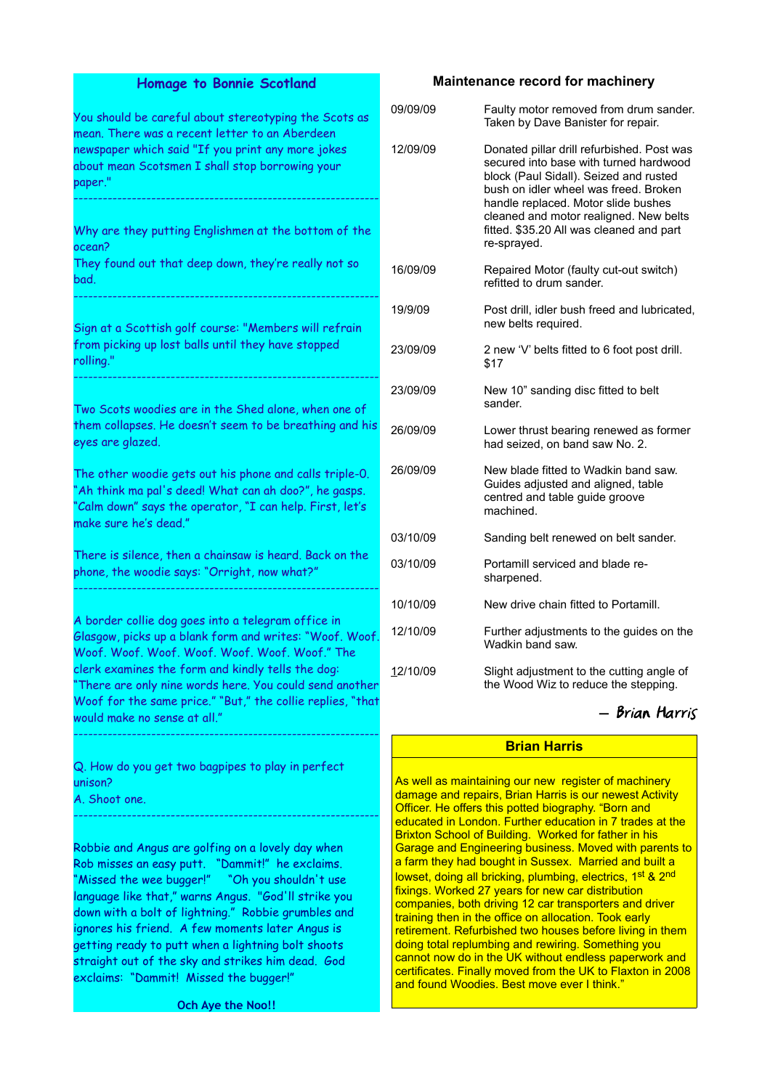#### **Homage to Bonnie Scotland**

You should be careful about stereotyping the Scots as mean. There was a recent letter to an Aberdeen newspaper which said "If you print any more jokes about mean Scotsmen I shall stop borrowing your paper." --------------------------------------------------------------- Why are they putting Englishmen at the bottom of the

ocean? They found out that deep down, they're really not so

---------------------------------------------------------------

Sign at a Scottish golf course: "Members will refrain from picking up lost balls until they have stopped rolling." ---------------------------------------------------------------

Two Scots woodies are in the Shed alone, when one of them collapses. He doesn't seem to be breathing and his eyes are glazed.

The other woodie gets out his phone and calls triple-0. "Ah think ma pal's deed! What can ah doo?", he gasps. "Calm down" says the operator, "I can help. First, let's make sure he's dead."

There is silence, then a chainsaw is heard. Back on the phone, the woodie says: "Orright, now what?" ---------------------------------------------------------------

A border collie dog goes into a telegram office in Glasgow, picks up a blank form and writes: "Woof. Woof. Woof. Woof. Woof. Woof. Woof. Woof. Woof." The clerk examines the form and kindly tells the dog: "There are only nine words here. You could send another Woof for the same price." "But," the collie replies, "that would make no sense at all."

---------------------------------------------------------------

---------------------------------------------------------------

Q. How do you get two bagpipes to play in perfect unison?

A. Shoot one.

bad.

Robbie and Angus are golfing on a lovely day when Rob misses an easy putt. "Dammit!" he exclaims. "Missed the wee bugger!" "Oh you shouldn't use language like that," warns Angus. "God'll strike you down with a bolt of lightning." Robbie grumbles and ignores his friend. A few moments later Angus is getting ready to putt when a lightning bolt shoots straight out of the sky and strikes him dead. God exclaims: "Dammit! Missed the bugger!"

**Och Aye the Noo!!**

#### **Maintenance record for machinery**

| 09/09/09 | Faulty motor removed from drum sander.<br>Taken by Dave Banister for repair.                                                                                                                                                                                                                                        |
|----------|---------------------------------------------------------------------------------------------------------------------------------------------------------------------------------------------------------------------------------------------------------------------------------------------------------------------|
| 12/09/09 | Donated pillar drill refurbished. Post was<br>secured into base with turned hardwood<br>block (Paul Sidall). Seized and rusted<br>bush on idler wheel was freed. Broken<br>handle replaced. Motor slide bushes<br>cleaned and motor realigned. New belts<br>fitted. \$35.20 All was cleaned and part<br>re-sprayed. |
| 16/09/09 | Repaired Motor (faulty cut-out switch)<br>refitted to drum sander.                                                                                                                                                                                                                                                  |
| 19/9/09  | Post drill, idler bush freed and lubricated,<br>new belts required.                                                                                                                                                                                                                                                 |
| 23/09/09 | 2 new 'V' belts fitted to 6 foot post drill.<br>\$17                                                                                                                                                                                                                                                                |
| 23/09/09 | New 10" sanding disc fitted to belt<br>sander                                                                                                                                                                                                                                                                       |
| 26/09/09 | Lower thrust bearing renewed as former<br>had seized, on band saw No. 2.                                                                                                                                                                                                                                            |
| 26/09/09 | New blade fitted to Wadkin band saw.<br>Guides adjusted and aligned, table<br>centred and table guide groove<br>machined.                                                                                                                                                                                           |
| 03/10/09 | Sanding belt renewed on belt sander.                                                                                                                                                                                                                                                                                |
| 03/10/09 | Portamill serviced and blade re-<br>sharpened.                                                                                                                                                                                                                                                                      |
| 10/10/09 | New drive chain fitted to Portamill.                                                                                                                                                                                                                                                                                |
| 12/10/09 | Further adjustments to the guides on the<br>Wadkin band saw.                                                                                                                                                                                                                                                        |
| 12/10/09 | Slight adjustment to the cutting angle of<br>the Wood Wiz to reduce the stepping.                                                                                                                                                                                                                                   |

### *―* Brian Harris

### **Brian Harris**

As well as maintaining our new register of machinery damage and repairs, Brian Harris is our newest Activity Officer. He offers this potted biography. "Born and educated in London. Further education in 7 trades at the Brixton School of Building. Worked for father in his Garage and Engineering business. Moved with parents to a farm they had bought in Sussex. Married and built a lowset, doing all bricking, plumbing, electrics, 1<sup>st</sup> & 2<sup>nd</sup> fixings. Worked 27 years for new car distribution companies, both driving 12 car transporters and driver training then in the office on allocation. Took early retirement. Refurbished two houses before living in them doing total replumbing and rewiring. Something you cannot now do in the UK without endless paperwork and certificates. Finally moved from the UK to Flaxton in 2008 and found Woodies. Best move ever I think."